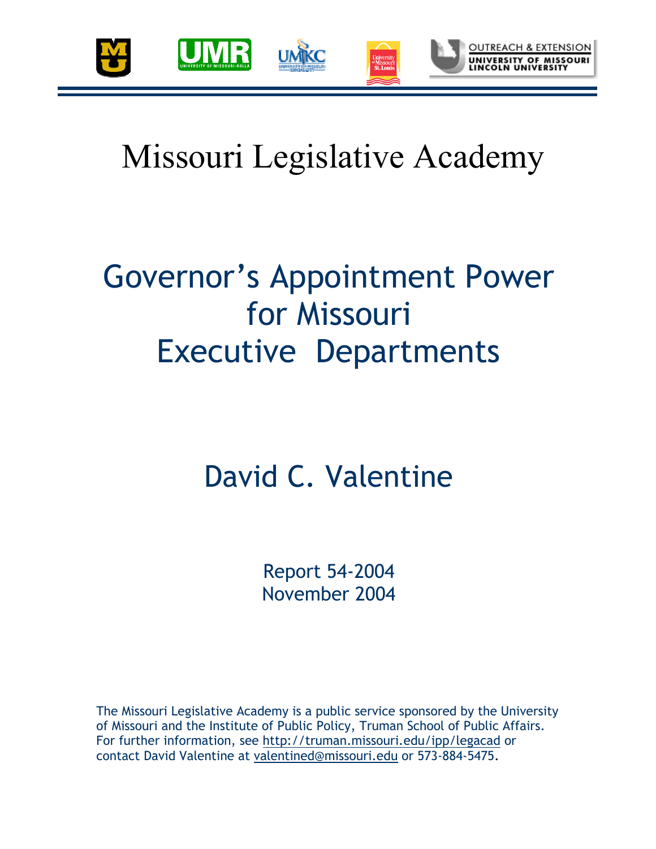

# Missouri Legislative Academy

## Governor's Appointment Power for Missouri Executive Departments

## David C. Valentine

Report 54-2004 November 2004

The Missouri Legislative Academy is a public service sponsored by the University of Missouri and the Institute of Public Policy, Truman School of Public Affairs. For further information, see http://truman.missouri.edu/ipp/legacad or contact David Valentine at valentined@missouri.edu or 573-884-5475.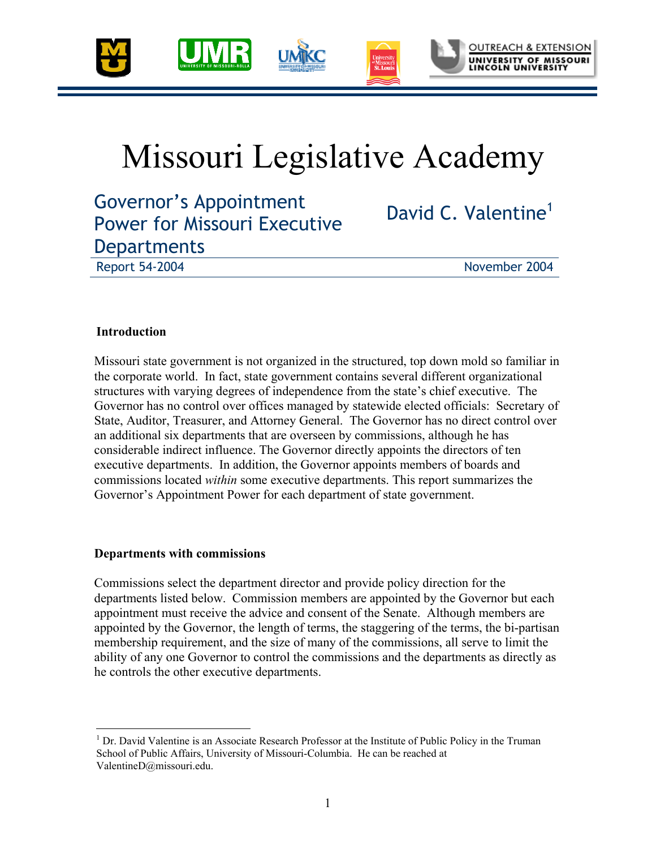

## Missouri Legislative Academy

Governor's Appointment Power for Missouri Executive **Departments** 

David C. Valentine<sup>1</sup>

Report 54-2004 November 2004

### **Introduction**

 $\overline{a}$ 

Missouri state government is not organized in the structured, top down mold so familiar in the corporate world. In fact, state government contains several different organizational structures with varying degrees of independence from the state's chief executive. The Governor has no control over offices managed by statewide elected officials: Secretary of State, Auditor, Treasurer, and Attorney General. The Governor has no direct control over an additional six departments that are overseen by commissions, although he has considerable indirect influence. The Governor directly appoints the directors of ten executive departments. In addition, the Governor appoints members of boards and commissions located *within* some executive departments. This report summarizes the Governor's Appointment Power for each department of state government.

### **Departments with commissions**

Commissions select the department director and provide policy direction for the departments listed below. Commission members are appointed by the Governor but each appointment must receive the advice and consent of the Senate. Although members are appointed by the Governor, the length of terms, the staggering of the terms, the bi-partisan membership requirement, and the size of many of the commissions, all serve to limit the ability of any one Governor to control the commissions and the departments as directly as he controls the other executive departments.

<sup>&</sup>lt;sup>1</sup> Dr. David Valentine is an Associate Research Professor at the Institute of Public Policy in the Truman School of Public Affairs, University of Missouri-Columbia. He can be reached at ValentineD@missouri.edu.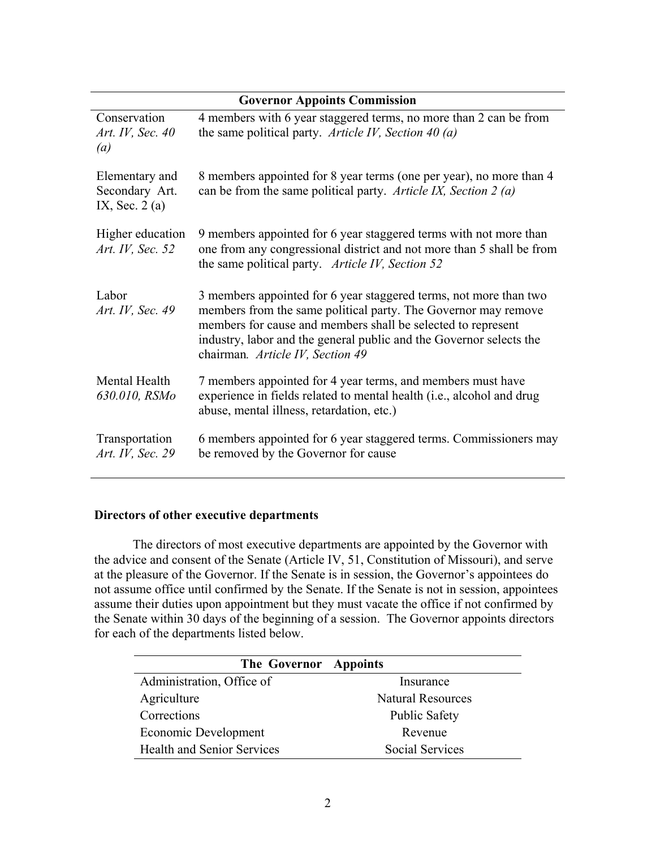| <b>Governor Appoints Commission</b>                 |                                                                                                                                                                                                                                                                                                                |  |  |
|-----------------------------------------------------|----------------------------------------------------------------------------------------------------------------------------------------------------------------------------------------------------------------------------------------------------------------------------------------------------------------|--|--|
| Conservation<br>Art. IV, Sec. 40<br>(a)             | 4 members with 6 year staggered terms, no more than 2 can be from<br>the same political party. Article IV, Section 40 (a)                                                                                                                                                                                      |  |  |
| Elementary and<br>Secondary Art.<br>IX, Sec. $2(a)$ | 8 members appointed for 8 year terms (one per year), no more than 4<br>can be from the same political party. Article IX, Section 2 (a)                                                                                                                                                                         |  |  |
| Higher education<br>Art. IV, Sec. 52                | 9 members appointed for 6 year staggered terms with not more than<br>one from any congressional district and not more than 5 shall be from<br>the same political party. Article IV, Section 52                                                                                                                 |  |  |
| Labor<br>Art. IV, Sec. 49                           | 3 members appointed for 6 year staggered terms, not more than two<br>members from the same political party. The Governor may remove<br>members for cause and members shall be selected to represent<br>industry, labor and the general public and the Governor selects the<br>chairman. Article IV, Section 49 |  |  |
| Mental Health<br>630.010, RSMo                      | 7 members appointed for 4 year terms, and members must have<br>experience in fields related to mental health (i.e., alcohol and drug<br>abuse, mental illness, retardation, etc.)                                                                                                                              |  |  |
| Transportation<br>Art. IV, Sec. 29                  | 6 members appointed for 6 year staggered terms. Commissioners may<br>be removed by the Governor for cause                                                                                                                                                                                                      |  |  |

### **Directors of other executive departments**

The directors of most executive departments are appointed by the Governor with the advice and consent of the Senate (Article IV, 51, Constitution of Missouri), and serve at the pleasure of the Governor. If the Senate is in session, the Governor's appointees do not assume office until confirmed by the Senate. If the Senate is not in session, appointees assume their duties upon appointment but they must vacate the office if not confirmed by the Senate within 30 days of the beginning of a session. The Governor appoints directors for each of the departments listed below.

| The Governor Appoints             |                          |
|-----------------------------------|--------------------------|
| Administration, Office of         | Insurance                |
| Agriculture                       | <b>Natural Resources</b> |
| Corrections                       | <b>Public Safety</b>     |
| Economic Development              | Revenue                  |
| <b>Health and Senior Services</b> | <b>Social Services</b>   |